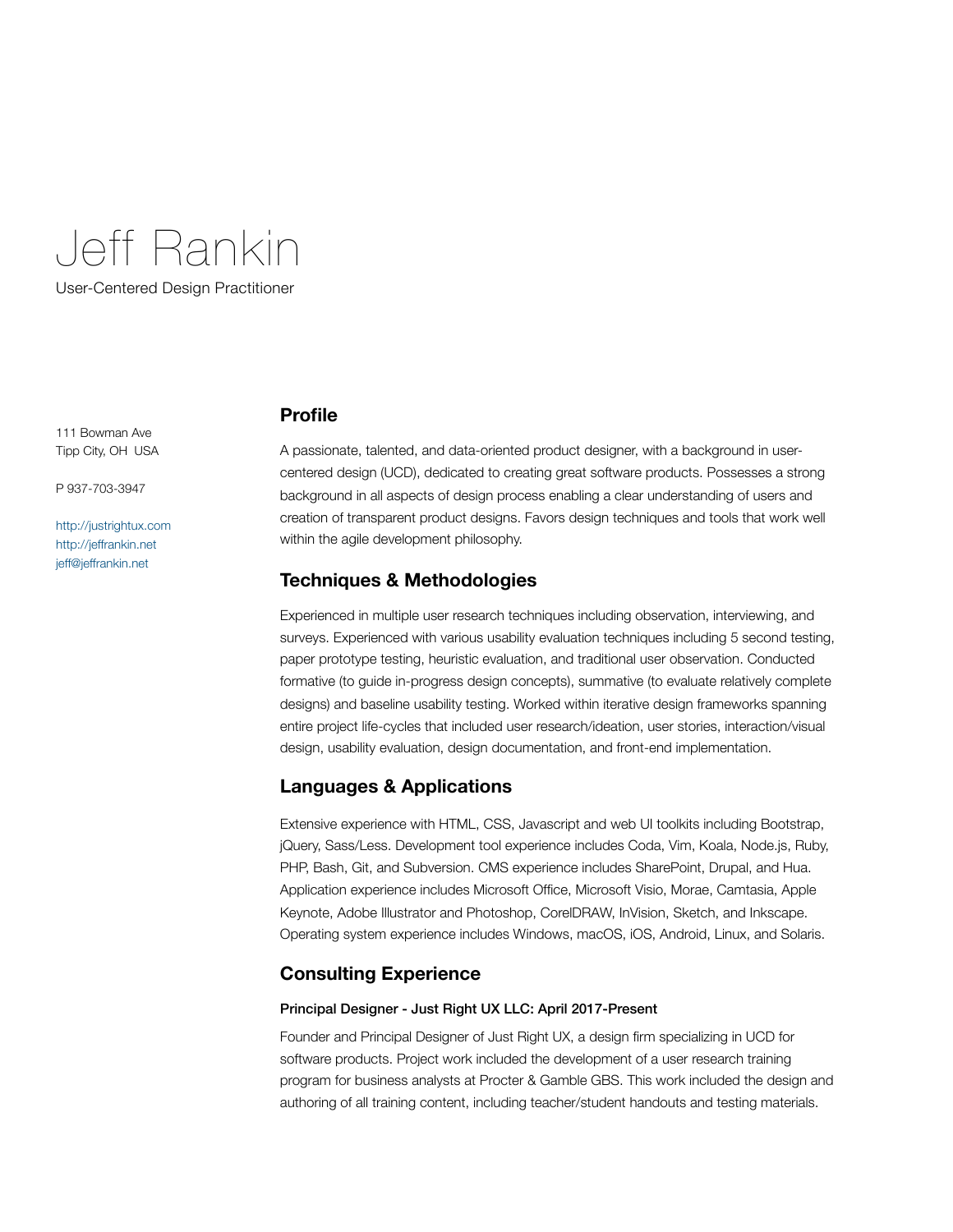# Jeff Rankin

User-Centered Design Practitioner

111 Bowman Ave Tipp City, OH USA

P 937-703-3947

<http://justrightux.com> <http://jeffrankin.net> [jeff@jeffrankin.net](mailto:jeff@jeffrankin.net)

## **Profile**

A passionate, talented, and data-oriented product designer, with a background in usercentered design (UCD), dedicated to creating great software products. Possesses a strong background in all aspects of design process enabling a clear understanding of users and creation of transparent product designs. Favors design techniques and tools that work well within the agile development philosophy.

## **Techniques & Methodologies**

Experienced in multiple user research techniques including observation, interviewing, and surveys. Experienced with various usability evaluation techniques including 5 second testing, paper prototype testing, heuristic evaluation, and traditional user observation. Conducted formative (to guide in-progress design concepts), summative (to evaluate relatively complete designs) and baseline usability testing. Worked within iterative design frameworks spanning entire project life-cycles that included user research/ideation, user stories, interaction/visual design, usability evaluation, design documentation, and front-end implementation.

# **Languages & Applications**

Extensive experience with HTML, CSS, Javascript and web UI toolkits including Bootstrap, jQuery, Sass/Less. Development tool experience includes Coda, Vim, Koala, Node.js, Ruby, PHP, Bash, Git, and Subversion. CMS experience includes SharePoint, Drupal, and Hua. Application experience includes Microsoft Office, Microsoft Visio, Morae, Camtasia, Apple Keynote, Adobe Illustrator and Photoshop, CorelDRAW, InVision, Sketch, and Inkscape. Operating system experience includes Windows, macOS, iOS, Android, Linux, and Solaris.

## **Consulting Experience**

## Principal Designer - Just Right UX LLC: April 2017-Present

Founder and Principal Designer of Just Right UX, a design firm specializing in UCD for software products. Project work included the development of a user research training program for business analysts at Procter & Gamble GBS. This work included the design and authoring of all training content, including teacher/student handouts and testing materials.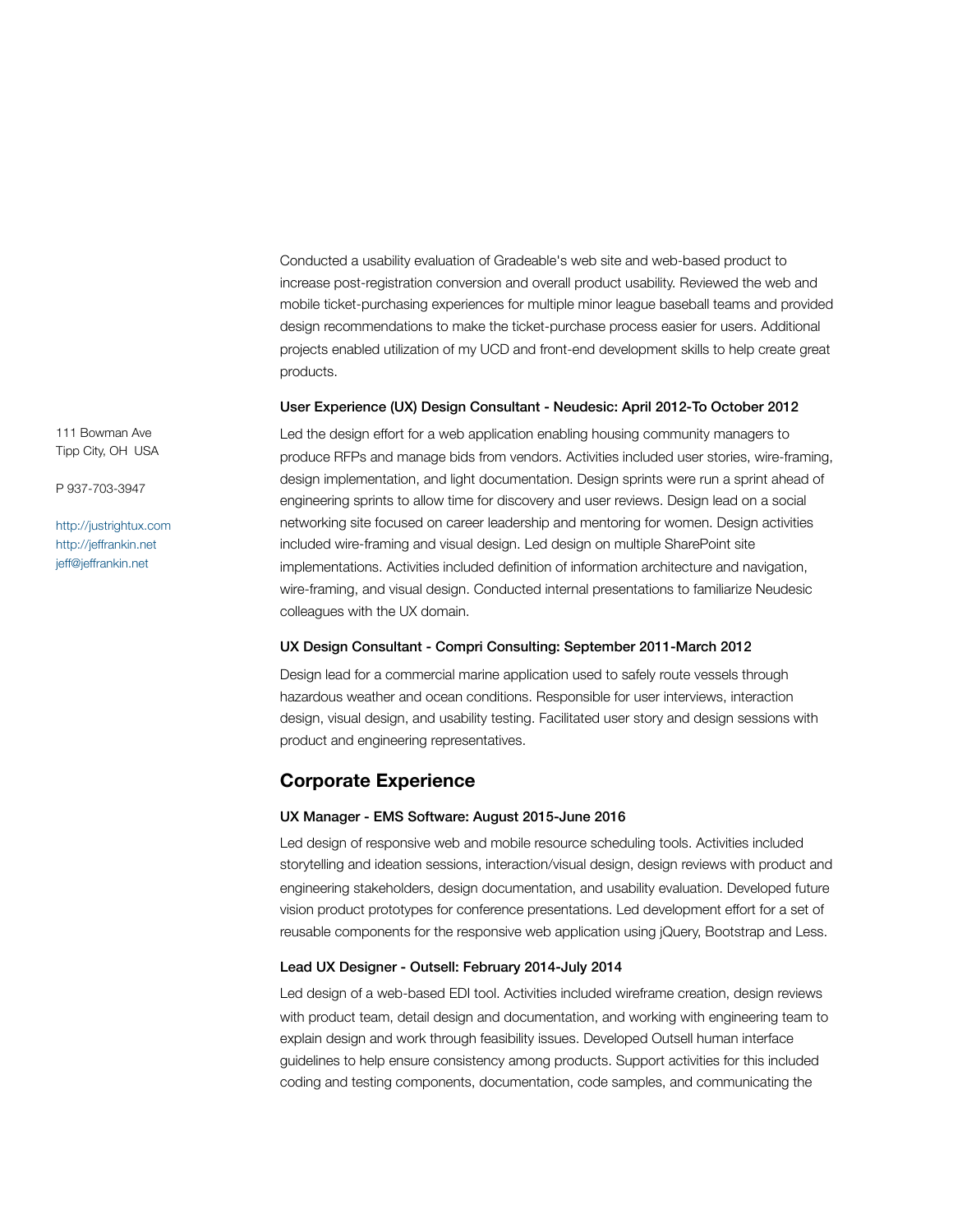Conducted a usability evaluation of Gradeable's web site and web-based product to increase post-registration conversion and overall product usability. Reviewed the web and mobile ticket-purchasing experiences for multiple minor league baseball teams and provided design recommendations to make the ticket-purchase process easier for users. Additional projects enabled utilization of my UCD and front-end development skills to help create great products.

#### User Experience (UX) Design Consultant - Neudesic: April 2012-To October 2012

Led the design effort for a web application enabling housing community managers to produce RFPs and manage bids from vendors. Activities included user stories, wire-framing, design implementation, and light documentation. Design sprints were run a sprint ahead of engineering sprints to allow time for discovery and user reviews. Design lead on a social networking site focused on career leadership and mentoring for women. Design activities included wire-framing and visual design. Led design on multiple SharePoint site implementations. Activities included definition of information architecture and navigation, wire-framing, and visual design. Conducted internal presentations to familiarize Neudesic colleagues with the UX domain.

#### UX Design Consultant - Compri Consulting: September 2011-March 2012

Design lead for a commercial marine application used to safely route vessels through hazardous weather and ocean conditions. Responsible for user interviews, interaction design, visual design, and usability testing. Facilitated user story and design sessions with product and engineering representatives.

## **Corporate Experience**

#### UX Manager - EMS Software: August 2015-June 2016

Led design of responsive web and mobile resource scheduling tools. Activities included storytelling and ideation sessions, interaction/visual design, design reviews with product and engineering stakeholders, design documentation, and usability evaluation. Developed future vision product prototypes for conference presentations. Led development effort for a set of reusable components for the responsive web application using jQuery, Bootstrap and Less.

### Lead UX Designer - Outsell: February 2014-July 2014

Led design of a web-based EDI tool. Activities included wireframe creation, design reviews with product team, detail design and documentation, and working with engineering team to explain design and work through feasibility issues. Developed Outsell human interface guidelines to help ensure consistency among products. Support activities for this included coding and testing components, documentation, code samples, and communicating the

111 Bowman Ave Tipp City, OH USA

P 937-703-3947

<http://justrightux.com> <http://jeffrankin.net> [jeff@jeffrankin.net](mailto:jeff@jeffrankin.net)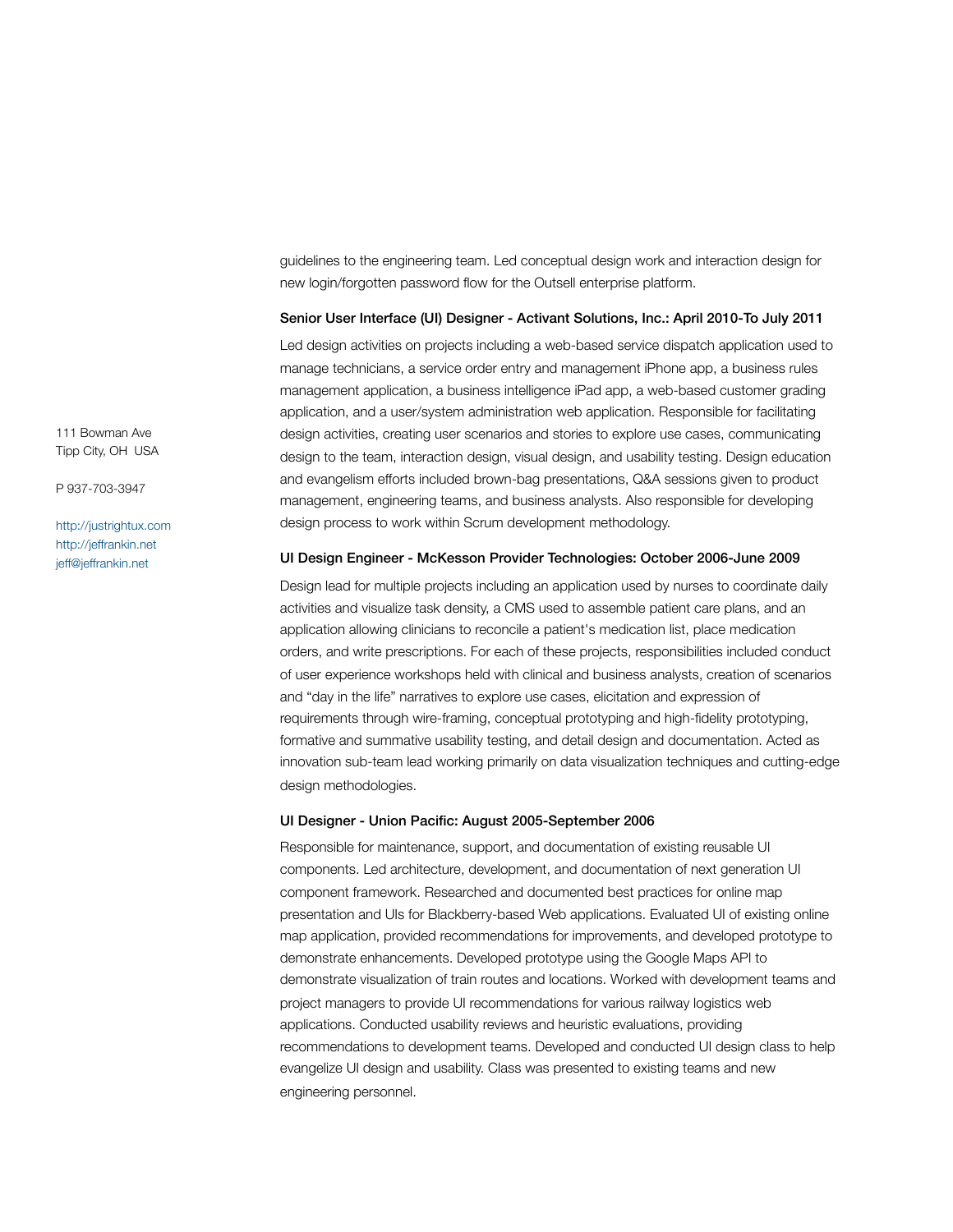guidelines to the engineering team. Led conceptual design work and interaction design for new login/forgotten password flow for the Outsell enterprise platform.

#### Senior User Interface (UI) Designer - Activant Solutions, Inc.: April 2010-To July 2011

Led design activities on projects including a web-based service dispatch application used to manage technicians, a service order entry and management iPhone app, a business rules management application, a business intelligence iPad app, a web-based customer grading application, and a user/system administration web application. Responsible for facilitating design activities, creating user scenarios and stories to explore use cases, communicating design to the team, interaction design, visual design, and usability testing. Design education and evangelism efforts included brown-bag presentations, Q&A sessions given to product management, engineering teams, and business analysts. Also responsible for developing design process to work within Scrum development methodology.

#### UI Design Engineer - McKesson Provider Technologies: October 2006-June 2009

Design lead for multiple projects including an application used by nurses to coordinate daily activities and visualize task density, a CMS used to assemble patient care plans, and an application allowing clinicians to reconcile a patient's medication list, place medication orders, and write prescriptions. For each of these projects, responsibilities included conduct of user experience workshops held with clinical and business analysts, creation of scenarios and "day in the life" narratives to explore use cases, elicitation and expression of requirements through wire-framing, conceptual prototyping and high-fidelity prototyping, formative and summative usability testing, and detail design and documentation. Acted as innovation sub-team lead working primarily on data visualization techniques and cutting-edge design methodologies.

#### UI Designer - Union Pacific: August 2005-September 2006

Responsible for maintenance, support, and documentation of existing reusable UI components. Led architecture, development, and documentation of next generation UI component framework. Researched and documented best practices for online map presentation and UIs for Blackberry-based Web applications. Evaluated UI of existing online map application, provided recommendations for improvements, and developed prototype to demonstrate enhancements. Developed prototype using the Google Maps API to demonstrate visualization of train routes and locations. Worked with development teams and project managers to provide UI recommendations for various railway logistics web applications. Conducted usability reviews and heuristic evaluations, providing recommendations to development teams. Developed and conducted UI design class to help evangelize UI design and usability. Class was presented to existing teams and new engineering personnel.

111 Bowman Ave Tipp City, OH USA

P 937-703-3947

<http://justrightux.com> <http://jeffrankin.net> [jeff@jeffrankin.net](mailto:jeff@jeffrankin.net)